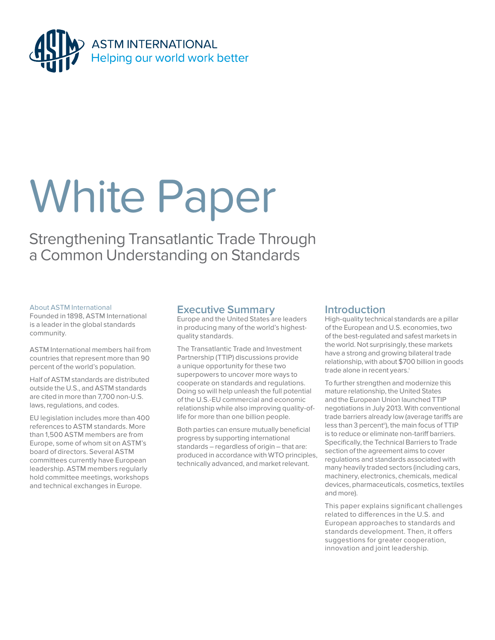

# White Paper

Strengthening Transatlantic Trade Through a Common Understanding on Standards

# About ASTM International

Founded in 1898, ASTM International is a leader in the global standards community.

ASTM International members hail from countries that represent more than 90 percent of the world's population.

Half of ASTM standards are distributed outside the U.S., and ASTM standards are cited in more than 7,700 non-U.S. laws, regulations, and codes.

EU legislation includes more than 400 references to ASTM standards. More than 1,500 ASTM members are from Europe, some of whom sit on ASTM's board of directors. Several ASTM committees currently have European leadership. ASTM members regularly hold committee meetings, workshops and technical exchanges in Europe.

# **Executive Summary**

Europe and the United States are leaders in producing many of the world's highestquality standards.

The Transatlantic Trade and Investment Partnership (TTIP) discussions provide a unique opportunity for these two superpowers to uncover more ways to cooperate on standards and regulations. Doing so will help unleash the full potential of the U.S.-EU commercial and economic relationship while also improving quality-oflife for more than one billion people.

Both parties can ensure mutually beneficial progress by supporting international standards – regardless of origin – that are: produced in accordance with WTO principles, technically advanced, and market relevant.

# **Introduction**

High-quality technical standards are a pillar of the European and U.S. economies, two of the best-regulated and safest markets in the world. Not surprisingly, these markets have a strong and growing bilateral trade relationship, with about \$700 billion in goods trade alone in recent years.<sup>i</sup>

To further strengthen and modernize this mature relationship, the United States and the European Union launched TTIP negotiations in July 2013. With conventional trade barriers already low (average tariffs are less than 3 percent<sup>ii</sup>), the main focus of TTIP is to reduce or eliminate non-tariff barriers. Specifically, the Technical Barriers to Trade section of the agreement aims to cover regulations and standards associated with many heavily traded sectors (including cars, machinery, electronics, chemicals, medical devices, pharmaceuticals, cosmetics, textiles and more).

This paper explains significant challenges related to differences in the U.S. and European approaches to standards and standards development. Then, it offers suggestions for greater cooperation, innovation and joint leadership.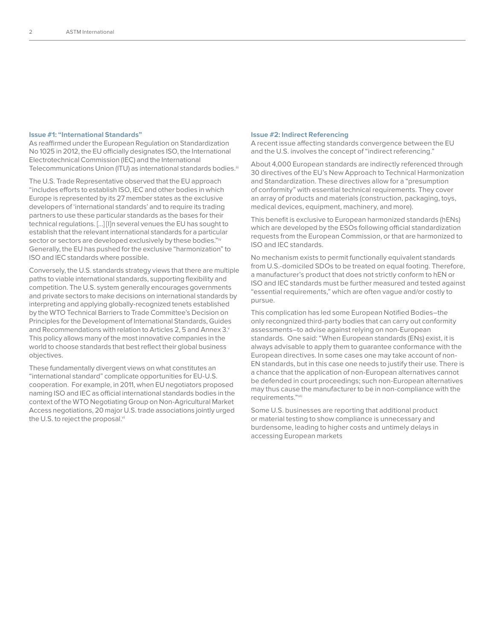#### **Issue #1: "International Standards"**

As reaffirmed under the European Regulation on Standardization No 1025 in 2012, the EU officially designates ISO, the International Electrotechnical Commission (IEC) and the International Telecommunications Union (ITU) as international standards bodies.<sup>iii</sup>

The U.S. Trade Representative observed that the EU approach "includes efforts to establish ISO, IEC and other bodies in which Europe is represented by its 27 member states as the exclusive developers of 'international standards' and to require its trading partners to use these particular standards as the bases for their technical regulations. […] [I]n several venues the EU has sought to establish that the relevant international standards for a particular sector or sectors are developed exclusively by these bodies."iv Generally, the EU has pushed for the exclusive "harmonization" to ISO and IEC standards where possible.

Conversely, the U.S. standards strategy views that there are multiple paths to viable international standards, supporting flexibility and competition. The U.S. system generally encourages governments and private sectors to make decisions on international standards by interpreting and applying globally-recognized tenets established by the WTO Technical Barriers to Trade Committee's Decision on Principles for the Development of International Standards, Guides and Recommendations with relation to Articles 2, 5 and Annex 3.Y This policy allows many of the most innovative companies in the world to choose standards that best reflect their global business objectives.

These fundamentally divergent views on what constitutes an "international standard" complicate opportunities for EU-U.S. cooperation. For example, in 2011, when EU negotiators proposed naming ISO and IEC as official international standards bodies in the context of the WTO Negotiating Group on Non-Agricultural Market Access negotiations, 20 major U.S. trade associations jointly urged the U.S. to reject the proposal.vi

#### **Issue #2: Indirect Referencing**

A recent issue affecting standards convergence between the EU and the U.S. involves the concept of "indirect referencing."

About 4,000 European standards are indirectly referenced through 30 directives of the EU's New Approach to Technical Harmonization and Standardization. These directives allow for a "presumption of conformity" with essential technical requirements. They cover an array of products and materials (construction, packaging, toys, medical devices, equipment, machinery, and more).

This benefit is exclusive to European harmonized standards (hENs) which are developed by the ESOs following official standardization requests from the European Commission, or that are harmonized to ISO and IEC standards.

No mechanism exists to permit functionally equivalent standards from U.S.-domiciled SDOs to be treated on equal footing. Therefore, a manufacturer's product that does not strictly conform to hEN or ISO and IEC standards must be further measured and tested against "essential requirements," which are often vague and/or costly to pursue.

This complication has led some European Notified Bodies–the only recongnized third-party bodies that can carry out conformity assessments–to advise against relying on non-European standards. One said: "When European standards (ENs) exist, it is always advisable to apply them to guarantee conformance with the European directives. In some cases one may take account of non-EN standards, but in this case one needs to justify their use. There is a chance that the application of non-European alternatives cannot be defended in court proceedings; such non-European alternatives may thus cause the manufacturer to be in non-compliance with the requirements."vii

Some U.S. businesses are reporting that additional product or material testing to show compliance is unnecessary and burdensome, leading to higher costs and untimely delays in accessing European markets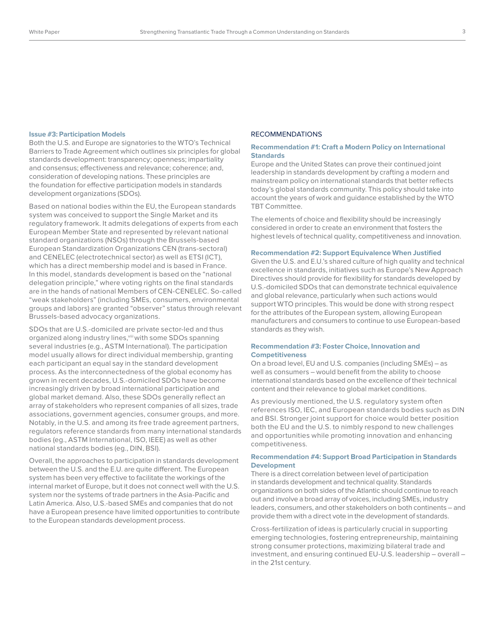#### **Issue #3: Participation Models**

Both the U.S. and Europe are signatories to the WTO's Technical Barriers to Trade Agreement which outlines six principles for global standards development: transparency; openness; impartiality and consensus; effectiveness and relevance; coherence; and, consideration of developing nations. These principles are the foundation for effective participation models in standards development organizations (SDOs).

Based on national bodies within the EU, the European standards system was conceived to support the Single Market and its regulatory framework. It admits delegations of experts from each European Member State and represented by relevant national standard organizations (NSOs) through the Brussels-based European Standardization Organizations CEN (trans-sectoral) and CENELEC (electrotechnical sector) as well as ETSI (ICT), which has a direct membership model and is based in France. In this model, standards development is based on the "national delegation principle," where voting rights on the final standards are in the hands of national Members of CEN-CENELEC. So-called "weak stakeholders" (including SMEs, consumers, environmental groups and labors) are granted "observer" status through relevant Brussels-based advocacy organizations.

SDOs that are U.S.-domiciled are private sector-led and thus organized along industry lines, viii with some SDOs spanning several industries (e.g., ASTM International). The participation model usually allows for direct individual membership, granting each participant an equal say in the standard development process. As the interconnectedness of the global economy has grown in recent decades, U.S.-domiciled SDOs have become increasingly driven by broad international participation and global market demand. Also, these SDOs generally reflect an array of stakeholders who represent companies of all sizes, trade associations, government agencies, consumer groups, and more. Notably, in the U.S. and among its free trade agreement partners, regulators reference standards from many international standards bodies (eg., ASTM International, ISO, IEEE) as well as other national standards bodies (eg., DIN, BSI).

Overall, the approaches to participation in standards development between the U.S. and the E.U. are quite different. The European system has been very effective to facilitate the workings of the internal market of Europe, but it does not connect well with the U.S. system nor the systems of trade partners in the Asia-Pacific and Latin America. Also, U.S.-based SMEs and companies that do not have a European presence have limited opportunities to contribute to the European standards development process.

#### RECOMMENDATIONS

## **Recommendation #1: Craft a Modern Policy on International Standards**

Europe and the United States can prove their continued joint leadership in standards development by crafting a modern and mainstream policy on international standards that better reflects today's global standards community. This policy should take into account the years of work and guidance established by the WTO TBT Committee.

The elements of choice and flexibility should be increasingly considered in order to create an environment that fosters the highest levels of technical quality, competitiveness and innovation.

#### **Recommendation #2: Support Equivalence When Justified**

Given the U.S. and E.U.'s shared culture of high quality and technical excellence in standards, initiatives such as Europe's New Approach Directives should provide for flexibility for standards developed by U.S.-domiciled SDOs that can demonstrate technical equivalence and global relevance, particularly when such actions would support WTO principles. This would be done with strong respect for the attributes of the European system, allowing European manufacturers and consumers to continue to use European-based standards as they wish.

# **Recommendation #3: Foster Choice, Innovation and Competitiveness**

On a broad level, EU and U.S. companies (including SMEs) – as well as consumers – would benefit from the ability to choose international standards based on the excellence of their technical content and their relevance to global market conditions.

As previously mentioned, the U.S. regulatory system often references ISO, IEC, and European standards bodies such as DIN and BSI. Stronger joint support for choice would better position both the EU and the U.S. to nimbly respond to new challenges and opportunities while promoting innovation and enhancing competitiveness.

# **Recommendation #4: Support Broad Participation in Standards Development**

There is a direct correlation between level of participation in standards development and technical quality. Standards organizations on both sides of the Atlantic should continue to reach out and involve a broad array of voices, including SMEs, industry leaders, consumers, and other stakeholders on both continents – and provide them with a direct vote in the development of standards.

Cross-fertilization of ideas is particularly crucial in supporting emerging technologies, fostering entrepreneurship, maintaining strong consumer protections, maximizing bilateral trade and investment, and ensuring continued EU-U.S. leadership – overall – in the 21st century.